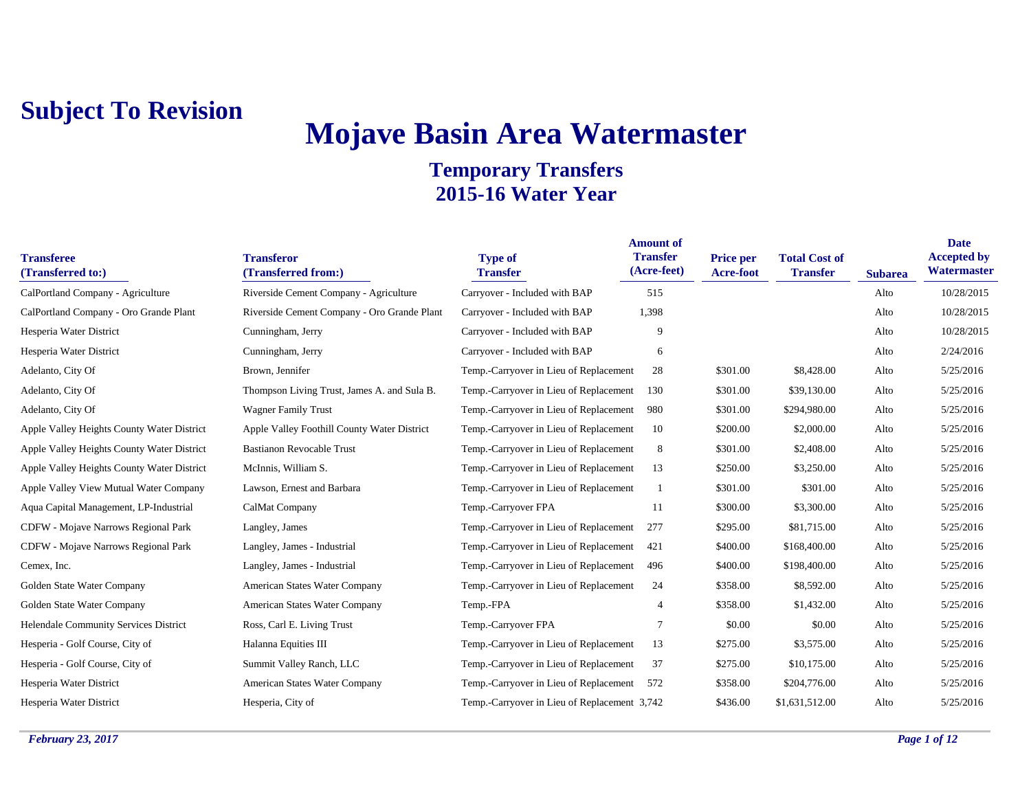# **Mojave Basin Area Watermaster**

| <b>Transferee</b><br>(Transferred to:)     | <b>Transferor</b><br>(Transferred from:)    | <b>Type of</b><br><b>Transfer</b>            | <b>Amount of</b><br><b>Transfer</b><br>(Acre-feet) | <b>Price per</b><br>Acre-foot | <b>Total Cost of</b><br><b>Transfer</b> | <b>Subarea</b> | <b>Date</b><br><b>Accepted by</b><br>Watermaster |
|--------------------------------------------|---------------------------------------------|----------------------------------------------|----------------------------------------------------|-------------------------------|-----------------------------------------|----------------|--------------------------------------------------|
| CalPortland Company - Agriculture          | Riverside Cement Company - Agriculture      | Carryover - Included with BAP                | 515                                                |                               |                                         | Alto           | 10/28/2015                                       |
| CalPortland Company - Oro Grande Plant     | Riverside Cement Company - Oro Grande Plant | Carryover - Included with BAP                | 1,398                                              |                               |                                         | Alto           | 10/28/2015                                       |
| Hesperia Water District                    | Cunningham, Jerry                           | Carryover - Included with BAP                | 9                                                  |                               |                                         | Alto           | 10/28/2015                                       |
| Hesperia Water District                    | Cunningham, Jerry                           | Carryover - Included with BAP                | 6                                                  |                               |                                         | Alto           | 2/24/2016                                        |
| Adelanto, City Of                          | Brown, Jennifer                             | Temp.-Carryover in Lieu of Replacement       | 28                                                 | \$301.00                      | \$8,428.00                              | Alto           | 5/25/2016                                        |
| Adelanto, City Of                          | Thompson Living Trust, James A. and Sula B. | Temp.-Carryover in Lieu of Replacement       | 130                                                | \$301.00                      | \$39,130.00                             | Alto           | 5/25/2016                                        |
| Adelanto, City Of                          | <b>Wagner Family Trust</b>                  | Temp.-Carryover in Lieu of Replacement       | 980                                                | \$301.00                      | \$294,980.00                            | Alto           | 5/25/2016                                        |
| Apple Valley Heights County Water District | Apple Valley Foothill County Water District | Temp.-Carryover in Lieu of Replacement       | 10                                                 | \$200.00                      | \$2,000.00                              | Alto           | 5/25/2016                                        |
| Apple Valley Heights County Water District | <b>Bastianon Revocable Trust</b>            | Temp.-Carryover in Lieu of Replacement       | 8                                                  | \$301.00                      | \$2,408.00                              | Alto           | 5/25/2016                                        |
| Apple Valley Heights County Water District | McInnis, William S.                         | Temp.-Carryover in Lieu of Replacement       | 13                                                 | \$250.00                      | \$3,250.00                              | Alto           | 5/25/2016                                        |
| Apple Valley View Mutual Water Company     | Lawson, Ernest and Barbara                  | Temp.-Carryover in Lieu of Replacement       |                                                    | \$301.00                      | \$301.00                                | Alto           | 5/25/2016                                        |
| Aqua Capital Management, LP-Industrial     | CalMat Company                              | Temp.-Carryover FPA                          | 11                                                 | \$300.00                      | \$3,300.00                              | Alto           | 5/25/2016                                        |
| CDFW - Mojave Narrows Regional Park        | Langley, James                              | Temp.-Carryover in Lieu of Replacement       | 277                                                | \$295.00                      | \$81,715.00                             | Alto           | 5/25/2016                                        |
| CDFW - Mojave Narrows Regional Park        | Langley, James - Industrial                 | Temp.-Carryover in Lieu of Replacement       | 421                                                | \$400.00                      | \$168,400.00                            | Alto           | 5/25/2016                                        |
| Cemex, Inc.                                | Langley, James - Industrial                 | Temp.-Carryover in Lieu of Replacement       | 496                                                | \$400.00                      | \$198,400.00                            | Alto           | 5/25/2016                                        |
| Golden State Water Company                 | American States Water Company               | Temp.-Carryover in Lieu of Replacement       | 24                                                 | \$358.00                      | \$8,592.00                              | Alto           | 5/25/2016                                        |
| Golden State Water Company                 | American States Water Company               | Temp.-FPA                                    | $\overline{A}$                                     | \$358.00                      | \$1,432.00                              | Alto           | 5/25/2016                                        |
| Helendale Community Services District      | Ross, Carl E. Living Trust                  | Temp.-Carryover FPA                          |                                                    | \$0.00                        | \$0.00                                  | Alto           | 5/25/2016                                        |
| Hesperia - Golf Course, City of            | Halanna Equities III                        | Temp.-Carryover in Lieu of Replacement       | 13                                                 | \$275.00                      | \$3,575.00                              | Alto           | 5/25/2016                                        |
| Hesperia - Golf Course, City of            | Summit Valley Ranch, LLC                    | Temp.-Carryover in Lieu of Replacement       | 37                                                 | \$275.00                      | \$10,175.00                             | Alto           | 5/25/2016                                        |
| Hesperia Water District                    | American States Water Company               | Temp.-Carryover in Lieu of Replacement       | 572                                                | \$358.00                      | \$204,776.00                            | Alto           | 5/25/2016                                        |
| Hesperia Water District                    | Hesperia, City of                           | Temp.-Carryover in Lieu of Replacement 3,742 |                                                    | \$436.00                      | \$1,631,512.00                          | Alto           | 5/25/2016                                        |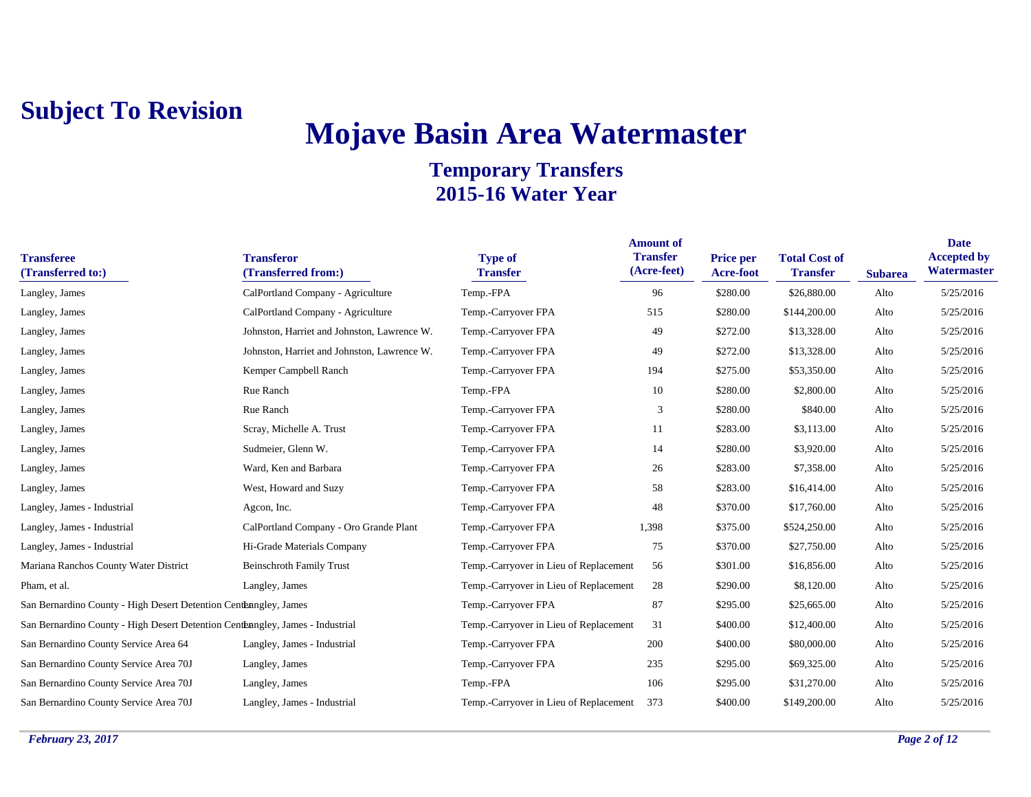# **Mojave Basin Area Watermaster**

| <b>Transferee</b><br>(Transferred to:)                                         | <b>Transferor</b><br>(Transferred from:)    | <b>Type of</b><br><b>Transfer</b>      | <b>Amount of</b><br><b>Transfer</b><br>(Acre-feet) | <b>Price per</b><br>Acre-foot | <b>Total Cost of</b><br><b>Transfer</b> | <b>Subarea</b> | <b>Date</b><br><b>Accepted by</b><br>Watermaster |
|--------------------------------------------------------------------------------|---------------------------------------------|----------------------------------------|----------------------------------------------------|-------------------------------|-----------------------------------------|----------------|--------------------------------------------------|
| Langley, James                                                                 | CalPortland Company - Agriculture           | Temp.-FPA                              | 96                                                 | \$280.00                      | \$26,880.00                             | Alto           | 5/25/2016                                        |
| Langley, James                                                                 | CalPortland Company - Agriculture           | Temp.-Carryover FPA                    | 515                                                | \$280.00                      | \$144,200.00                            | Alto           | 5/25/2016                                        |
| Langley, James                                                                 | Johnston, Harriet and Johnston, Lawrence W. | Temp.-Carryover FPA                    | 49                                                 | \$272.00                      | \$13,328.00                             | Alto           | 5/25/2016                                        |
| Langley, James                                                                 | Johnston, Harriet and Johnston, Lawrence W. | Temp.-Carryover FPA                    | 49                                                 | \$272.00                      | \$13,328.00                             | Alto           | 5/25/2016                                        |
| Langley, James                                                                 | Kemper Campbell Ranch                       | Temp.-Carryover FPA                    | 194                                                | \$275.00                      | \$53,350.00                             | Alto           | 5/25/2016                                        |
| Langley, James                                                                 | Rue Ranch                                   | Temp.-FPA                              | 10                                                 | \$280.00                      | \$2,800.00                              | Alto           | 5/25/2016                                        |
| Langley, James                                                                 | Rue Ranch                                   | Temp.-Carryover FPA                    | 3                                                  | \$280.00                      | \$840.00                                | Alto           | 5/25/2016                                        |
| Langley, James                                                                 | Scray, Michelle A. Trust                    | Temp.-Carryover FPA                    | 11                                                 | \$283.00                      | \$3,113.00                              | Alto           | 5/25/2016                                        |
| Langley, James                                                                 | Sudmeier, Glenn W.                          | Temp.-Carryover FPA                    | 14                                                 | \$280.00                      | \$3,920.00                              | Alto           | 5/25/2016                                        |
| Langley, James                                                                 | Ward, Ken and Barbara                       | Temp.-Carryover FPA                    | 26                                                 | \$283.00                      | \$7,358.00                              | Alto           | 5/25/2016                                        |
| Langley, James                                                                 | West, Howard and Suzy                       | Temp.-Carryover FPA                    | 58                                                 | \$283.00                      | \$16,414.00                             | Alto           | 5/25/2016                                        |
| Langley, James - Industrial                                                    | Agcon, Inc.                                 | Temp.-Carryover FPA                    | 48                                                 | \$370.00                      | \$17,760.00                             | Alto           | 5/25/2016                                        |
| Langley, James - Industrial                                                    | CalPortland Company - Oro Grande Plant      | Temp.-Carryover FPA                    | 1,398                                              | \$375.00                      | \$524,250.00                            | Alto           | 5/25/2016                                        |
| Langley, James - Industrial                                                    | Hi-Grade Materials Company                  | Temp.-Carryover FPA                    | 75                                                 | \$370.00                      | \$27,750.00                             | Alto           | 5/25/2016                                        |
| Mariana Ranchos County Water District                                          | <b>Beinschroth Family Trust</b>             | Temp.-Carryover in Lieu of Replacement | 56                                                 | \$301.00                      | \$16,856.00                             | Alto           | 5/25/2016                                        |
| Pham, et al.                                                                   | Langley, James                              | Temp.-Carryover in Lieu of Replacement | 28                                                 | \$290.00                      | \$8,120.00                              | Alto           | 5/25/2016                                        |
| San Bernardino County - High Desert Detention Centerangley, James              |                                             | Temp.-Carryover FPA                    | 87                                                 | \$295.00                      | \$25,665.00                             | Alto           | 5/25/2016                                        |
| San Bernardino County - High Desert Detention Centerangley, James - Industrial |                                             | Temp.-Carryover in Lieu of Replacement | 31                                                 | \$400.00                      | \$12,400.00                             | Alto           | 5/25/2016                                        |
| San Bernardino County Service Area 64                                          | Langley, James - Industrial                 | Temp.-Carryover FPA                    | 200                                                | \$400.00                      | \$80,000.00                             | Alto           | 5/25/2016                                        |
| San Bernardino County Service Area 70J                                         | Langley, James                              | Temp.-Carryover FPA                    | 235                                                | \$295.00                      | \$69,325.00                             | Alto           | 5/25/2016                                        |
| San Bernardino County Service Area 70J                                         | Langley, James                              | Temp.-FPA                              | 106                                                | \$295.00                      | \$31,270.00                             | Alto           | 5/25/2016                                        |
| San Bernardino County Service Area 70J                                         | Langley, James - Industrial                 | Temp.-Carryover in Lieu of Replacement | 373                                                | \$400.00                      | \$149,200.00                            | Alto           | 5/25/2016                                        |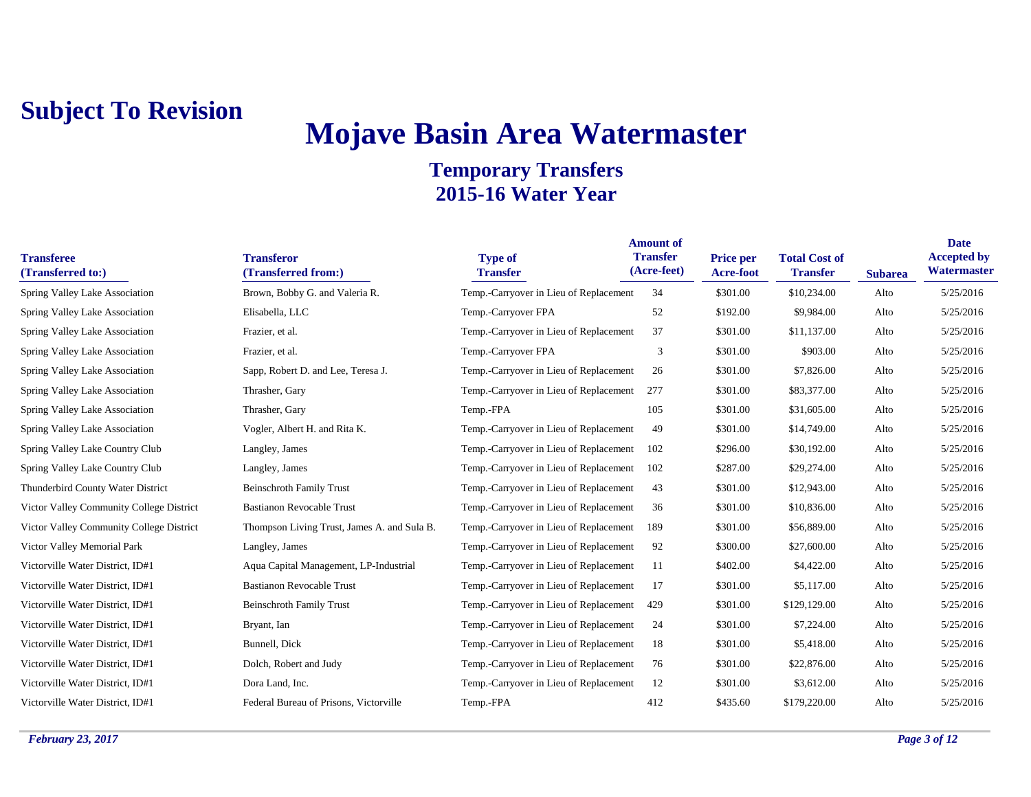# **Mojave Basin Area Watermaster**

| <b>Transferee</b><br>(Transferred to:)   | <b>Transferor</b><br>(Transferred from:)    | <b>Type of</b><br><b>Transfer</b>      | <b>Amount of</b><br><b>Transfer</b><br>(Acre-feet) | Price per<br>Acre-foot | <b>Total Cost of</b><br><b>Transfer</b> | <b>Subarea</b> | <b>Date</b><br><b>Accepted by</b><br>Watermaster |
|------------------------------------------|---------------------------------------------|----------------------------------------|----------------------------------------------------|------------------------|-----------------------------------------|----------------|--------------------------------------------------|
| Spring Valley Lake Association           | Brown, Bobby G. and Valeria R.              | Temp.-Carryover in Lieu of Replacement | 34                                                 | \$301.00               | \$10,234.00                             | Alto           | 5/25/2016                                        |
| Spring Valley Lake Association           | Elisabella, LLC                             | Temp.-Carryover FPA                    | 52                                                 | \$192.00               | \$9,984.00                              | Alto           | 5/25/2016                                        |
| Spring Valley Lake Association           | Frazier, et al.                             | Temp.-Carryover in Lieu of Replacement | 37                                                 | \$301.00               | \$11,137.00                             | Alto           | 5/25/2016                                        |
| Spring Valley Lake Association           | Frazier, et al.                             | Temp.-Carryover FPA                    | 3                                                  | \$301.00               | \$903.00                                | Alto           | 5/25/2016                                        |
| Spring Valley Lake Association           | Sapp, Robert D. and Lee, Teresa J.          | Temp.-Carryover in Lieu of Replacement | 26                                                 | \$301.00               | \$7,826.00                              | Alto           | 5/25/2016                                        |
| Spring Valley Lake Association           | Thrasher, Gary                              | Temp.-Carryover in Lieu of Replacement | 277                                                | \$301.00               | \$83,377.00                             | Alto           | 5/25/2016                                        |
| Spring Valley Lake Association           | Thrasher, Gary                              | Temp.-FPA                              | 105                                                | \$301.00               | \$31,605.00                             | Alto           | 5/25/2016                                        |
| Spring Valley Lake Association           | Vogler, Albert H. and Rita K.               | Temp.-Carryover in Lieu of Replacement | 49                                                 | \$301.00               | \$14,749.00                             | Alto           | 5/25/2016                                        |
| Spring Valley Lake Country Club          | Langley, James                              | Temp.-Carryover in Lieu of Replacement | 102                                                | \$296.00               | \$30,192.00                             | Alto           | 5/25/2016                                        |
| Spring Valley Lake Country Club          | Langley, James                              | Temp.-Carryover in Lieu of Replacement | 102                                                | \$287.00               | \$29,274.00                             | Alto           | 5/25/2016                                        |
| Thunderbird County Water District        | <b>Beinschroth Family Trust</b>             | Temp.-Carryover in Lieu of Replacement | 43                                                 | \$301.00               | \$12,943.00                             | Alto           | 5/25/2016                                        |
| Victor Valley Community College District | <b>Bastianon Revocable Trust</b>            | Temp.-Carryover in Lieu of Replacement | 36                                                 | \$301.00               | \$10,836.00                             | Alto           | 5/25/2016                                        |
| Victor Valley Community College District | Thompson Living Trust, James A. and Sula B. | Temp.-Carryover in Lieu of Replacement | 189                                                | \$301.00               | \$56,889.00                             | Alto           | 5/25/2016                                        |
| Victor Valley Memorial Park              | Langley, James                              | Temp.-Carryover in Lieu of Replacement | 92                                                 | \$300.00               | \$27,600.00                             | Alto           | 5/25/2016                                        |
| Victorville Water District, ID#1         | Aqua Capital Management, LP-Industrial      | Temp.-Carryover in Lieu of Replacement | 11                                                 | \$402.00               | \$4,422.00                              | Alto           | 5/25/2016                                        |
| Victorville Water District, ID#1         | <b>Bastianon Revocable Trust</b>            | Temp.-Carryover in Lieu of Replacement | 17                                                 | \$301.00               | \$5,117.00                              | Alto           | 5/25/2016                                        |
| Victorville Water District, ID#1         | <b>Beinschroth Family Trust</b>             | Temp.-Carryover in Lieu of Replacement | 429                                                | \$301.00               | \$129,129.00                            | Alto           | 5/25/2016                                        |
| Victorville Water District, ID#1         | Bryant, Ian                                 | Temp.-Carryover in Lieu of Replacement | 24                                                 | \$301.00               | \$7,224.00                              | Alto           | 5/25/2016                                        |
| Victorville Water District, ID#1         | Bunnell, Dick                               | Temp.-Carryover in Lieu of Replacement | 18                                                 | \$301.00               | \$5,418.00                              | Alto           | 5/25/2016                                        |
| Victorville Water District, ID#1         | Dolch, Robert and Judy                      | Temp.-Carryover in Lieu of Replacement | 76                                                 | \$301.00               | \$22,876.00                             | Alto           | 5/25/2016                                        |
| Victorville Water District, ID#1         | Dora Land, Inc.                             | Temp.-Carryover in Lieu of Replacement | 12                                                 | \$301.00               | \$3,612.00                              | Alto           | 5/25/2016                                        |
| Victorville Water District, ID#1         | Federal Bureau of Prisons, Victorville      | Temp.-FPA                              | 412                                                | \$435.60               | \$179,220.00                            | Alto           | 5/25/2016                                        |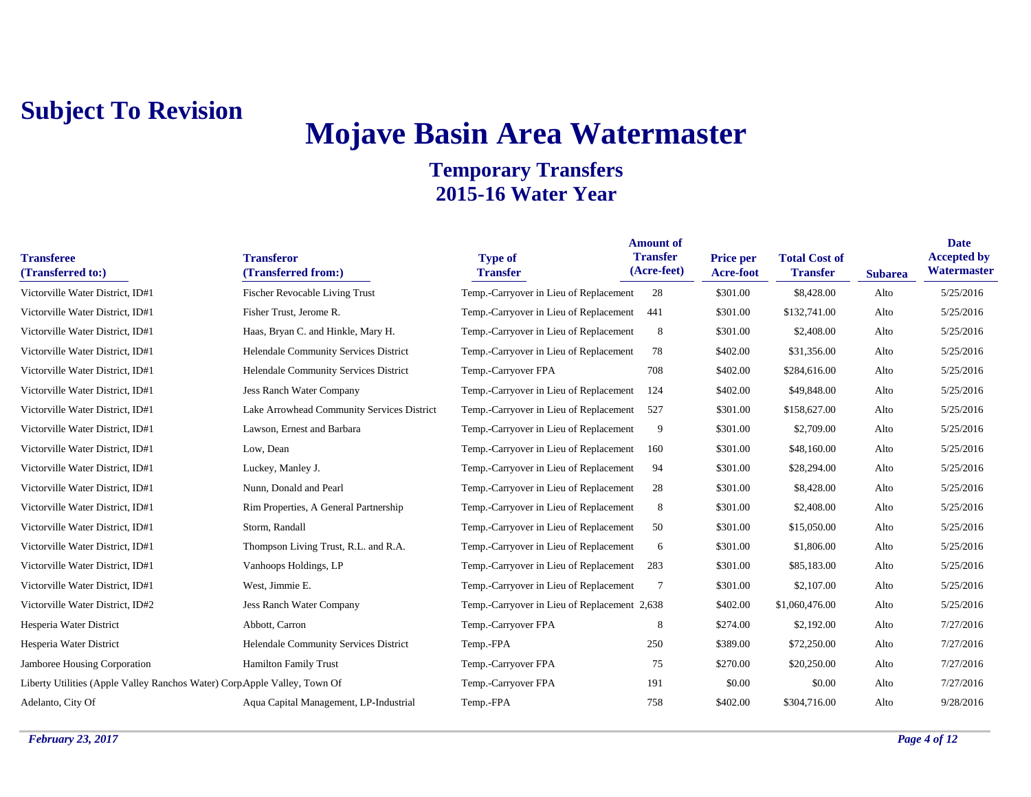# **Mojave Basin Area Watermaster**

| <b>Transferee</b><br>(Transferred to:)                                   | <b>Transferor</b><br>(Transferred from:)   | <b>Type of</b><br><b>Transfer</b>            | <b>Amount of</b><br><b>Transfer</b><br>(Acre-feet) | <b>Price per</b><br><b>Acre-foot</b> | <b>Total Cost of</b><br><b>Transfer</b> | <b>Subarea</b> | <b>Date</b><br><b>Accepted by</b><br>Watermaster |
|--------------------------------------------------------------------------|--------------------------------------------|----------------------------------------------|----------------------------------------------------|--------------------------------------|-----------------------------------------|----------------|--------------------------------------------------|
| Victorville Water District, ID#1                                         | <b>Fischer Revocable Living Trust</b>      | Temp.-Carryover in Lieu of Replacement       | 28                                                 | \$301.00                             | \$8,428.00                              | Alto           | 5/25/2016                                        |
| Victorville Water District, ID#1                                         | Fisher Trust, Jerome R.                    | Temp.-Carryover in Lieu of Replacement       | 441                                                | \$301.00                             | \$132,741.00                            | Alto           | 5/25/2016                                        |
| Victorville Water District, ID#1                                         | Haas, Bryan C. and Hinkle, Mary H.         | Temp.-Carryover in Lieu of Replacement       | 8                                                  | \$301.00                             | \$2,408.00                              | Alto           | 5/25/2016                                        |
| Victorville Water District, ID#1                                         | Helendale Community Services District      | Temp.-Carryover in Lieu of Replacement       | 78                                                 | \$402.00                             | \$31,356.00                             | Alto           | 5/25/2016                                        |
| Victorville Water District, ID#1                                         | Helendale Community Services District      | Temp.-Carryover FPA                          | 708                                                | \$402.00                             | \$284,616.00                            | Alto           | 5/25/2016                                        |
| Victorville Water District, ID#1                                         | <b>Jess Ranch Water Company</b>            | Temp.-Carryover in Lieu of Replacement       | 124                                                | \$402.00                             | \$49,848.00                             | Alto           | 5/25/2016                                        |
| Victorville Water District, ID#1                                         | Lake Arrowhead Community Services District | Temp.-Carryover in Lieu of Replacement       | 527                                                | \$301.00                             | \$158,627.00                            | Alto           | 5/25/2016                                        |
| Victorville Water District, ID#1                                         | Lawson, Ernest and Barbara                 | Temp.-Carryover in Lieu of Replacement       | 9                                                  | \$301.00                             | \$2,709.00                              | Alto           | 5/25/2016                                        |
| Victorville Water District, ID#1                                         | Low, Dean                                  | Temp.-Carryover in Lieu of Replacement       | 160                                                | \$301.00                             | \$48,160.00                             | Alto           | 5/25/2016                                        |
| Victorville Water District, ID#1                                         | Luckey, Manley J.                          | Temp.-Carryover in Lieu of Replacement       | 94                                                 | \$301.00                             | \$28,294.00                             | Alto           | 5/25/2016                                        |
| Victorville Water District, ID#1                                         | Nunn, Donald and Pearl                     | Temp.-Carryover in Lieu of Replacement       | 28                                                 | \$301.00                             | \$8,428.00                              | Alto           | 5/25/2016                                        |
| Victorville Water District, ID#1                                         | Rim Properties, A General Partnership      | Temp.-Carryover in Lieu of Replacement       | 8                                                  | \$301.00                             | \$2,408.00                              | Alto           | 5/25/2016                                        |
| Victorville Water District, ID#1                                         | Storm, Randall                             | Temp.-Carryover in Lieu of Replacement       | 50                                                 | \$301.00                             | \$15,050.00                             | Alto           | 5/25/2016                                        |
| Victorville Water District, ID#1                                         | Thompson Living Trust, R.L. and R.A.       | Temp.-Carryover in Lieu of Replacement       | 6                                                  | \$301.00                             | \$1,806.00                              | Alto           | 5/25/2016                                        |
| Victorville Water District, ID#1                                         | Vanhoops Holdings, LP                      | Temp.-Carryover in Lieu of Replacement       | 283                                                | \$301.00                             | \$85,183.00                             | Alto           | 5/25/2016                                        |
| Victorville Water District, ID#1                                         | West, Jimmie E.                            | Temp.-Carryover in Lieu of Replacement       | 7                                                  | \$301.00                             | \$2,107.00                              | Alto           | 5/25/2016                                        |
| Victorville Water District, ID#2                                         | Jess Ranch Water Company                   | Temp.-Carryover in Lieu of Replacement 2,638 |                                                    | \$402.00                             | \$1,060,476.00                          | Alto           | 5/25/2016                                        |
| Hesperia Water District                                                  | Abbott, Carron                             | Temp.-Carryover FPA                          | 8                                                  | \$274.00                             | \$2,192.00                              | Alto           | 7/27/2016                                        |
| Hesperia Water District                                                  | Helendale Community Services District      | Temp.-FPA                                    | 250                                                | \$389.00                             | \$72,250.00                             | Alto           | 7/27/2016                                        |
| Jamboree Housing Corporation                                             | <b>Hamilton Family Trust</b>               | Temp.-Carryover FPA                          | 75                                                 | \$270.00                             | \$20,250.00                             | Alto           | 7/27/2016                                        |
| Liberty Utilities (Apple Valley Ranchos Water) CorpApple Valley, Town Of |                                            | Temp.-Carryover FPA                          | 191                                                | \$0.00                               | \$0.00                                  | Alto           | 7/27/2016                                        |
| Adelanto, City Of                                                        | Aqua Capital Management, LP-Industrial     | Temp.-FPA                                    | 758                                                | \$402.00                             | \$304,716.00                            | Alto           | 9/28/2016                                        |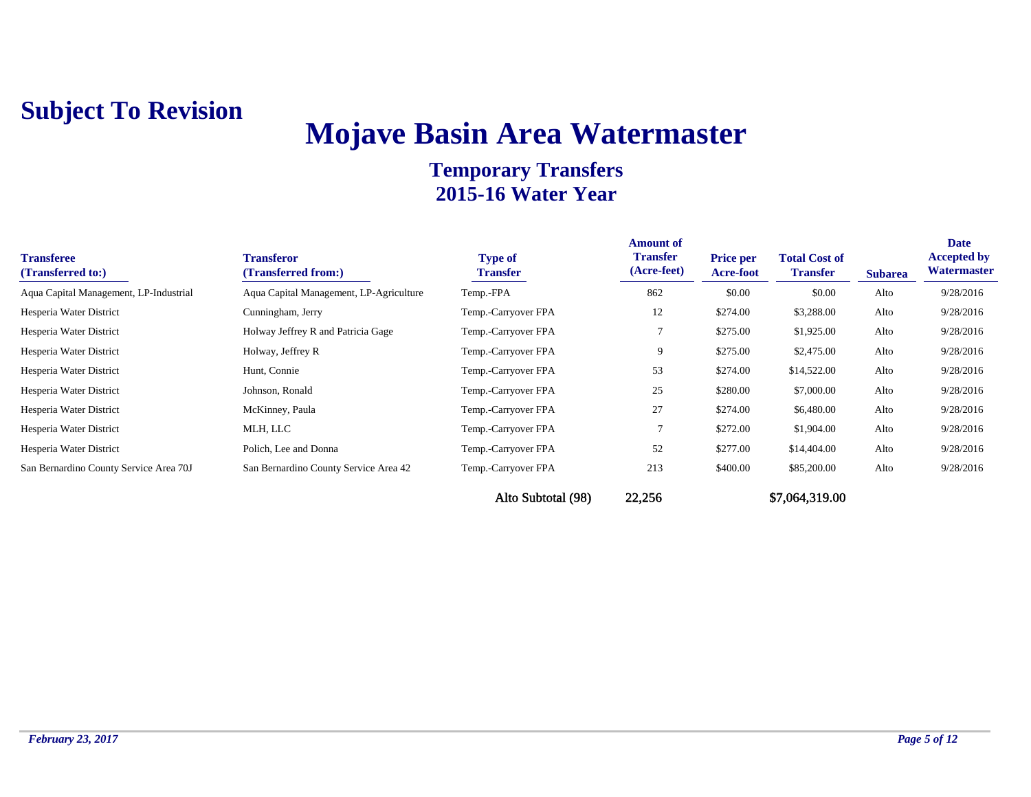# **Mojave Basin Area Watermaster**

| <b>Transferee</b><br>(Transferred to:) | <b>Transferor</b><br>(Transferred from:) | <b>Type of</b><br>Transfer | <b>Amount of</b><br><b>Transfer</b><br>(Acre-feet) | <b>Price per</b><br>Acre-foot | <b>Total Cost of</b><br><b>Transfer</b> | <b>Subarea</b> | <b>Date</b><br><b>Accepted by</b><br>Watermaster |
|----------------------------------------|------------------------------------------|----------------------------|----------------------------------------------------|-------------------------------|-----------------------------------------|----------------|--------------------------------------------------|
| Aqua Capital Management, LP-Industrial | Aqua Capital Management, LP-Agriculture  | Temp.-FPA                  | 862                                                | \$0.00                        | \$0.00                                  | Alto           | 9/28/2016                                        |
| Hesperia Water District                | Cunningham, Jerry                        | Temp.-Carryover FPA        | 12                                                 | \$274.00                      | \$3,288.00                              | Alto           | 9/28/2016                                        |
| Hesperia Water District                | Holway Jeffrey R and Patricia Gage       | Temp.-Carryover FPA        |                                                    | \$275.00                      | \$1,925.00                              | Alto           | 9/28/2016                                        |
| Hesperia Water District                | Holway, Jeffrey R                        | Temp.-Carryover FPA        | 9                                                  | \$275.00                      | \$2,475.00                              | Alto           | 9/28/2016                                        |
| Hesperia Water District                | Hunt, Connie                             | Temp.-Carryover FPA        | 53                                                 | \$274.00                      | \$14,522.00                             | Alto           | 9/28/2016                                        |
| Hesperia Water District                | Johnson, Ronald                          | Temp.-Carryover FPA        | 25                                                 | \$280.00                      | \$7,000.00                              | Alto           | 9/28/2016                                        |
| Hesperia Water District                | McKinney, Paula                          | Temp.-Carryover FPA        | 27                                                 | \$274.00                      | \$6,480.00                              | Alto           | 9/28/2016                                        |
| Hesperia Water District                | MLH, LLC                                 | Temp.-Carryover FPA        |                                                    | \$272.00                      | \$1,904.00                              | Alto           | 9/28/2016                                        |
| Hesperia Water District                | Polich, Lee and Donna                    | Temp.-Carryover FPA        | 52                                                 | \$277.00                      | \$14,404.00                             | Alto           | 9/28/2016                                        |
| San Bernardino County Service Area 70J | San Bernardino County Service Area 42    | Temp.-Carryover FPA        | 213                                                | \$400.00                      | \$85,200.00                             | Alto           | 9/28/2016                                        |
|                                        |                                          | Alto Subtotal (98)         | 22,256                                             |                               | \$7,064,319.00                          |                |                                                  |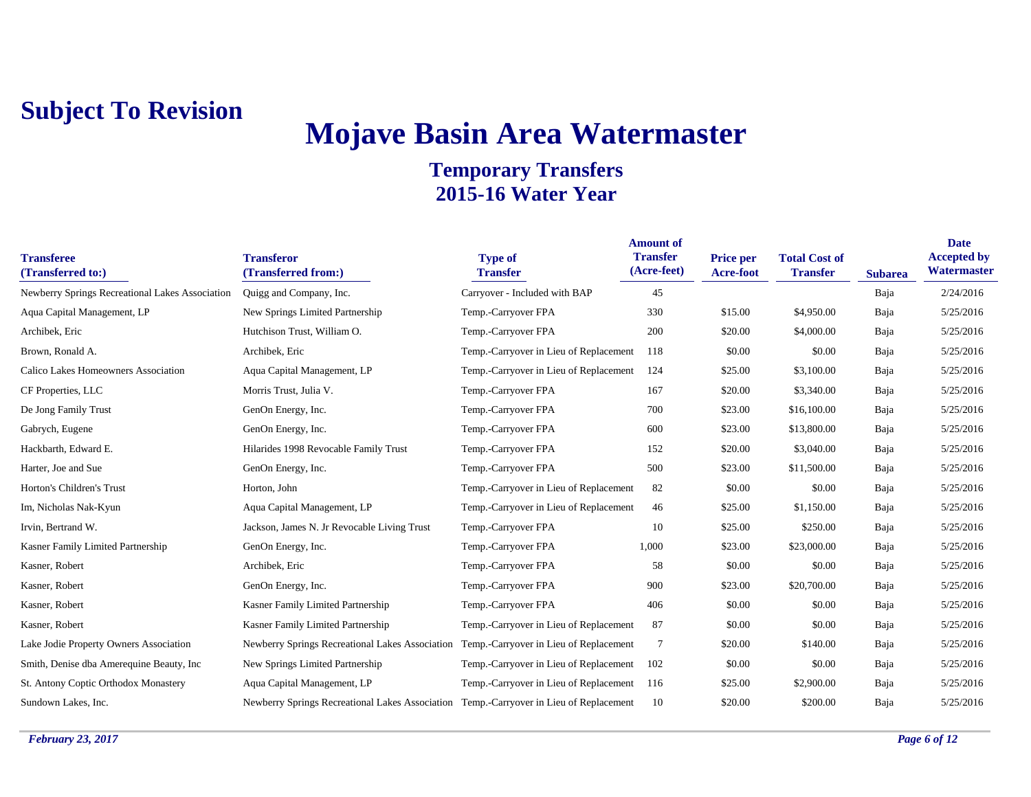# **Mojave Basin Area Watermaster**

| <b>Transferee</b><br>(Transferred to:)          | <b>Transferor</b><br>(Transferred from:)                                               | <b>Type of</b><br><b>Transfer</b>      | <b>Amount of</b><br><b>Transfer</b><br>(Acre-feet) | <b>Price per</b><br>Acre-foot | <b>Total Cost of</b><br><b>Transfer</b> | <b>Subarea</b> | <b>Date</b><br><b>Accepted by</b><br>Watermaster |
|-------------------------------------------------|----------------------------------------------------------------------------------------|----------------------------------------|----------------------------------------------------|-------------------------------|-----------------------------------------|----------------|--------------------------------------------------|
| Newberry Springs Recreational Lakes Association | Quigg and Company, Inc.                                                                | Carryover - Included with BAP          | 45                                                 |                               |                                         | Baja           | 2/24/2016                                        |
| Aqua Capital Management, LP                     | New Springs Limited Partnership                                                        | Temp.-Carryover FPA                    | 330                                                | \$15.00                       | \$4,950.00                              | Baja           | 5/25/2016                                        |
| Archibek, Eric                                  | Hutchison Trust, William O.                                                            | Temp.-Carryover FPA                    | 200                                                | \$20.00                       | \$4,000.00                              | Baja           | 5/25/2016                                        |
| Brown, Ronald A.                                | Archibek, Eric                                                                         | Temp.-Carryover in Lieu of Replacement | 118                                                | \$0.00                        | \$0.00                                  | Baja           | 5/25/2016                                        |
| Calico Lakes Homeowners Association             | Aqua Capital Management, LP                                                            | Temp.-Carryover in Lieu of Replacement | 124                                                | \$25.00                       | \$3,100.00                              | Baja           | 5/25/2016                                        |
| CF Properties, LLC                              | Morris Trust, Julia V.                                                                 | Temp.-Carryover FPA                    | 167                                                | \$20.00                       | \$3,340.00                              | Baja           | 5/25/2016                                        |
| De Jong Family Trust                            | GenOn Energy, Inc.                                                                     | Temp.-Carryover FPA                    | 700                                                | \$23.00                       | \$16,100.00                             | Baja           | 5/25/2016                                        |
| Gabrych, Eugene                                 | GenOn Energy, Inc.                                                                     | Temp.-Carryover FPA                    | 600                                                | \$23.00                       | \$13,800.00                             | Baja           | 5/25/2016                                        |
| Hackbarth, Edward E.                            | Hilarides 1998 Revocable Family Trust                                                  | Temp.-Carryover FPA                    | 152                                                | \$20.00                       | \$3,040.00                              | Baja           | 5/25/2016                                        |
| Harter, Joe and Sue                             | GenOn Energy, Inc.                                                                     | Temp.-Carryover FPA                    | 500                                                | \$23.00                       | \$11,500.00                             | Baja           | 5/25/2016                                        |
| Horton's Children's Trust                       | Horton, John                                                                           | Temp.-Carryover in Lieu of Replacement | 82                                                 | \$0.00                        | \$0.00                                  | Baja           | 5/25/2016                                        |
| Im, Nicholas Nak-Kyun                           | Aqua Capital Management, LP                                                            | Temp.-Carryover in Lieu of Replacement | 46                                                 | \$25.00                       | \$1,150.00                              | Baja           | 5/25/2016                                        |
| Irvin, Bertrand W.                              | Jackson, James N. Jr Revocable Living Trust                                            | Temp.-Carryover FPA                    | 10                                                 | \$25.00                       | \$250.00                                | Baja           | 5/25/2016                                        |
| Kasner Family Limited Partnership               | GenOn Energy, Inc.                                                                     | Temp.-Carryover FPA                    | 1,000                                              | \$23.00                       | \$23,000.00                             | Baja           | 5/25/2016                                        |
| Kasner, Robert                                  | Archibek, Eric                                                                         | Temp.-Carryover FPA                    | 58                                                 | \$0.00                        | \$0.00                                  | Baja           | 5/25/2016                                        |
| Kasner, Robert                                  | GenOn Energy, Inc.                                                                     | Temp.-Carryover FPA                    | 900                                                | \$23.00                       | \$20,700.00                             | Baja           | 5/25/2016                                        |
| Kasner, Robert                                  | Kasner Family Limited Partnership                                                      | Temp.-Carryover FPA                    | 406                                                | \$0.00                        | \$0.00                                  | Baja           | 5/25/2016                                        |
| Kasner, Robert                                  | Kasner Family Limited Partnership                                                      | Temp.-Carryover in Lieu of Replacement | 87                                                 | \$0.00                        | \$0.00                                  | Baja           | 5/25/2016                                        |
| Lake Jodie Property Owners Association          | Newberry Springs Recreational Lakes Association Temp.-Carryover in Lieu of Replacement |                                        | $\overline{7}$                                     | \$20.00                       | \$140.00                                | Baja           | 5/25/2016                                        |
| Smith, Denise dba Amerequine Beauty, Inc.       | New Springs Limited Partnership                                                        | Temp.-Carryover in Lieu of Replacement | 102                                                | \$0.00                        | \$0.00                                  | Baja           | 5/25/2016                                        |
| St. Antony Coptic Orthodox Monastery            | Aqua Capital Management, LP                                                            | Temp.-Carryover in Lieu of Replacement | 116                                                | \$25.00                       | \$2,900.00                              | Baja           | 5/25/2016                                        |
| Sundown Lakes, Inc.                             | Newberry Springs Recreational Lakes Association Temp.-Carryover in Lieu of Replacement |                                        | 10                                                 | \$20.00                       | \$200.00                                | Baja           | 5/25/2016                                        |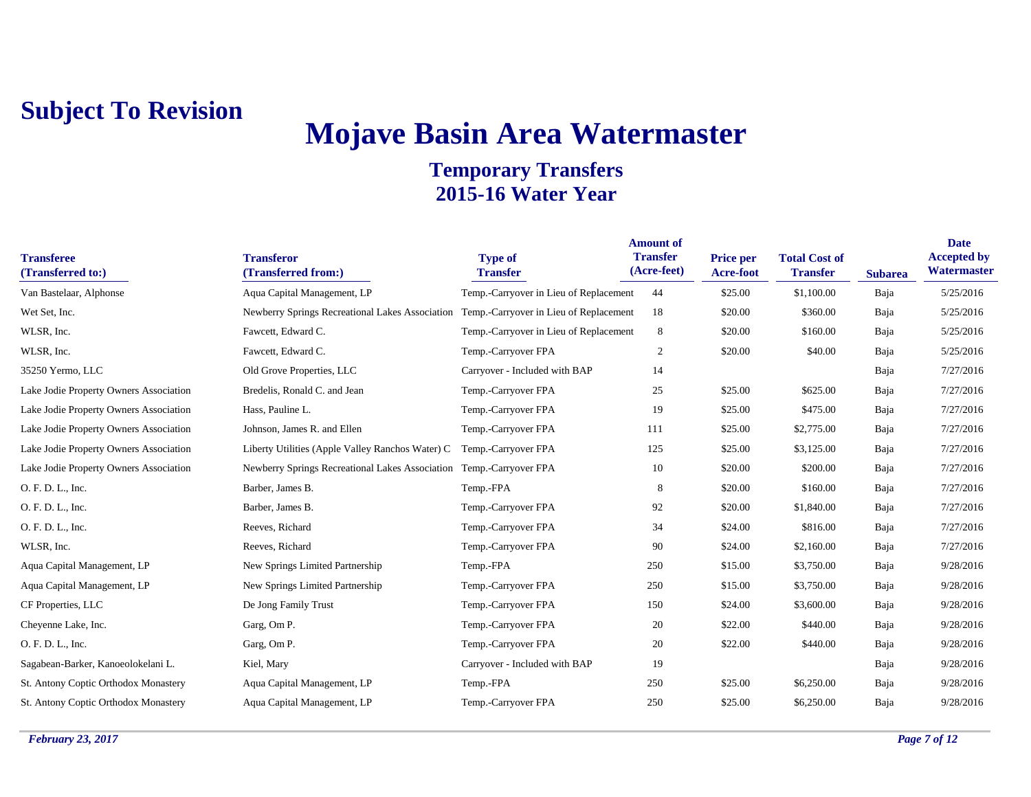# **Mojave Basin Area Watermaster**

| <b>Transferee</b><br>(Transferred to:) | <b>Transferor</b><br>(Transferred from:)                            | <b>Type of</b><br><b>Transfer</b>      | <b>Amount of</b><br><b>Transfer</b><br>(Acre-feet) | <b>Price per</b><br><b>Acre-foot</b> | <b>Total Cost of</b><br><b>Transfer</b> | <b>Subarea</b> | <b>Date</b><br><b>Accepted by</b><br>Watermaster |
|----------------------------------------|---------------------------------------------------------------------|----------------------------------------|----------------------------------------------------|--------------------------------------|-----------------------------------------|----------------|--------------------------------------------------|
| Van Bastelaar, Alphonse                | Aqua Capital Management, LP                                         | Temp.-Carryover in Lieu of Replacement | 44                                                 | \$25.00                              | \$1,100.00                              | Baja           | 5/25/2016                                        |
| Wet Set, Inc.                          | Newberry Springs Recreational Lakes Association                     | Temp.-Carryover in Lieu of Replacement | 18                                                 | \$20.00                              | \$360.00                                | Baja           | 5/25/2016                                        |
| WLSR, Inc.                             | Fawcett, Edward C.                                                  | Temp.-Carryover in Lieu of Replacement | 8                                                  | \$20.00                              | \$160.00                                | Baja           | 5/25/2016                                        |
| WLSR, Inc.                             | Fawcett, Edward C.                                                  | Temp.-Carryover FPA                    | $\boldsymbol{2}$                                   | \$20.00                              | \$40.00                                 | Baja           | 5/25/2016                                        |
| 35250 Yermo, LLC                       | Old Grove Properties, LLC                                           | Carryover - Included with BAP          | 14                                                 |                                      |                                         | Baja           | 7/27/2016                                        |
| Lake Jodie Property Owners Association | Bredelis, Ronald C. and Jean                                        | Temp.-Carryover FPA                    | 25                                                 | \$25.00                              | \$625.00                                | Baja           | 7/27/2016                                        |
| Lake Jodie Property Owners Association | Hass, Pauline L.                                                    | Temp.-Carryover FPA                    | 19                                                 | \$25.00                              | \$475.00                                | Baja           | 7/27/2016                                        |
| Lake Jodie Property Owners Association | Johnson, James R. and Ellen                                         | Temp.-Carryover FPA                    | 111                                                | \$25.00                              | \$2,775.00                              | Baja           | 7/27/2016                                        |
| Lake Jodie Property Owners Association | Liberty Utilities (Apple Valley Ranchos Water) C                    | Temp.-Carryover FPA                    | 125                                                | \$25.00                              | \$3,125.00                              | Baja           | 7/27/2016                                        |
| Lake Jodie Property Owners Association | Newberry Springs Recreational Lakes Association Temp.-Carryover FPA |                                        | 10                                                 | \$20.00                              | \$200.00                                | Baja           | 7/27/2016                                        |
| O. F. D. L., Inc.                      | Barber, James B.                                                    | Temp.-FPA                              | 8                                                  | \$20.00                              | \$160.00                                | Baja           | 7/27/2016                                        |
| O. F. D. L., Inc.                      | Barber, James B.                                                    | Temp.-Carryover FPA                    | 92                                                 | \$20.00                              | \$1,840.00                              | Baja           | 7/27/2016                                        |
| O. F. D. L., Inc.                      | Reeves, Richard                                                     | Temp.-Carryover FPA                    | 34                                                 | \$24.00                              | \$816.00                                | Baja           | 7/27/2016                                        |
| WLSR, Inc.                             | Reeves, Richard                                                     | Temp.-Carryover FPA                    | 90                                                 | \$24.00                              | \$2,160.00                              | Baja           | 7/27/2016                                        |
| Aqua Capital Management, LP            | New Springs Limited Partnership                                     | Temp.-FPA                              | 250                                                | \$15.00                              | \$3,750.00                              | Baja           | 9/28/2016                                        |
| Aqua Capital Management, LP            | New Springs Limited Partnership                                     | Temp.-Carryover FPA                    | 250                                                | \$15.00                              | \$3,750.00                              | Baja           | 9/28/2016                                        |
| CF Properties, LLC                     | De Jong Family Trust                                                | Temp.-Carryover FPA                    | 150                                                | \$24.00                              | \$3,600.00                              | Baja           | 9/28/2016                                        |
| Cheyenne Lake, Inc.                    | Garg, Om P.                                                         | Temp.-Carryover FPA                    | 20                                                 | \$22.00                              | \$440.00                                | Baja           | 9/28/2016                                        |
| O. F. D. L., Inc.                      | Garg, Om P.                                                         | Temp.-Carryover FPA                    | 20                                                 | \$22.00                              | \$440.00                                | Baja           | 9/28/2016                                        |
| Sagabean-Barker, Kanoeolokelani L.     | Kiel, Mary                                                          | Carryover - Included with BAP          | 19                                                 |                                      |                                         | Baja           | 9/28/2016                                        |
| St. Antony Coptic Orthodox Monastery   | Aqua Capital Management, LP                                         | Temp.-FPA                              | 250                                                | \$25.00                              | \$6,250.00                              | Baja           | 9/28/2016                                        |
| St. Antony Coptic Orthodox Monastery   | Aqua Capital Management, LP                                         | Temp.-Carryover FPA                    | 250                                                | \$25.00                              | \$6,250.00                              | Baja           | 9/28/2016                                        |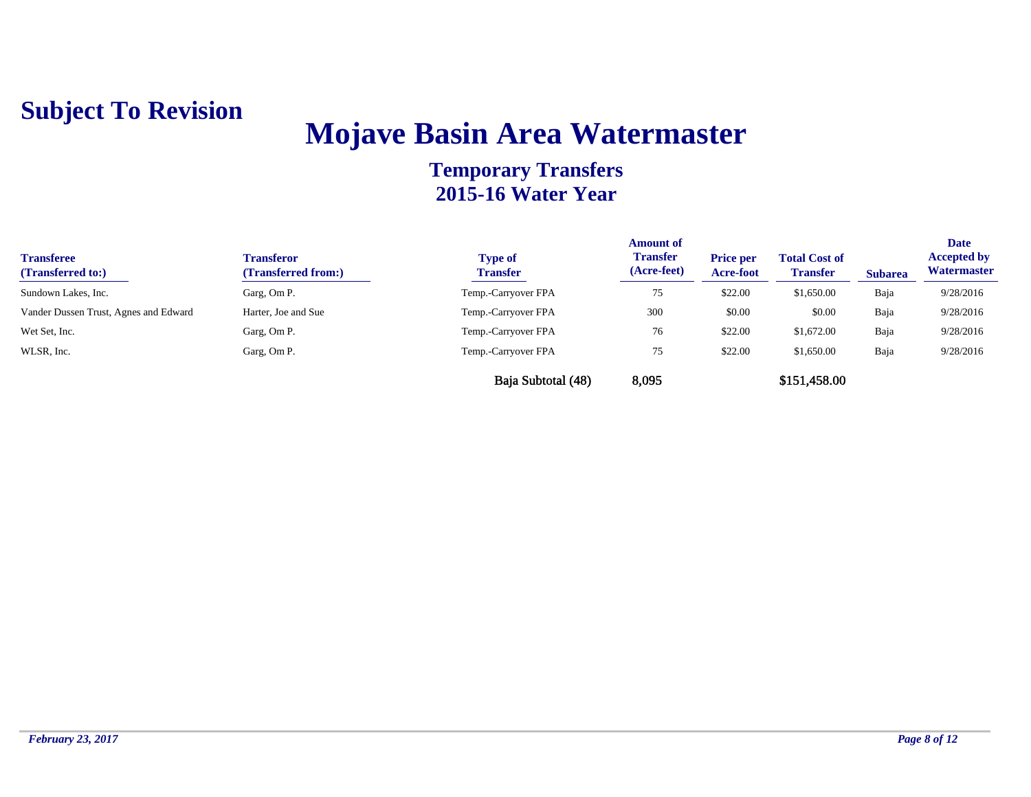# **Mojave Basin Area Watermaster**

| <b>Transferee</b><br>(Transferred to:) | <b>Transferor</b><br>(Transferred from:) | <b>Type of</b><br><b>Transfer</b> | <b>Amount of</b><br><b>Transfer</b><br>(Acre-feet) | <b>Price per</b><br><b>Acre-foot</b> | <b>Total Cost of</b><br><b>Transfer</b> | <b>Subarea</b> | <b>Date</b><br><b>Accepted by</b><br>Watermaster |
|----------------------------------------|------------------------------------------|-----------------------------------|----------------------------------------------------|--------------------------------------|-----------------------------------------|----------------|--------------------------------------------------|
| Sundown Lakes, Inc.                    | Garg, Om P.                              | Temp.-Carryover FPA               | 75                                                 | \$22.00                              | \$1,650.00                              | Baja           | 9/28/2016                                        |
| Vander Dussen Trust, Agnes and Edward  | Harter, Joe and Sue                      | Temp.-Carryover FPA               | 300                                                | \$0.00                               | \$0.00                                  | Baja           | 9/28/2016                                        |
| Wet Set, Inc.                          | Garg, Om P.                              | Temp.-Carryover FPA               | 76                                                 | \$22.00                              | \$1,672.00                              | Baja           | 9/28/2016                                        |
| WLSR, Inc.                             | Garg, Om P.                              | Temp.-Carryover FPA               | 75                                                 | \$22.00                              | \$1,650.00                              | Baja           | 9/28/2016                                        |
|                                        |                                          | Baja Subtotal (48)                | 8,095                                              |                                      | \$151,458.00                            |                |                                                  |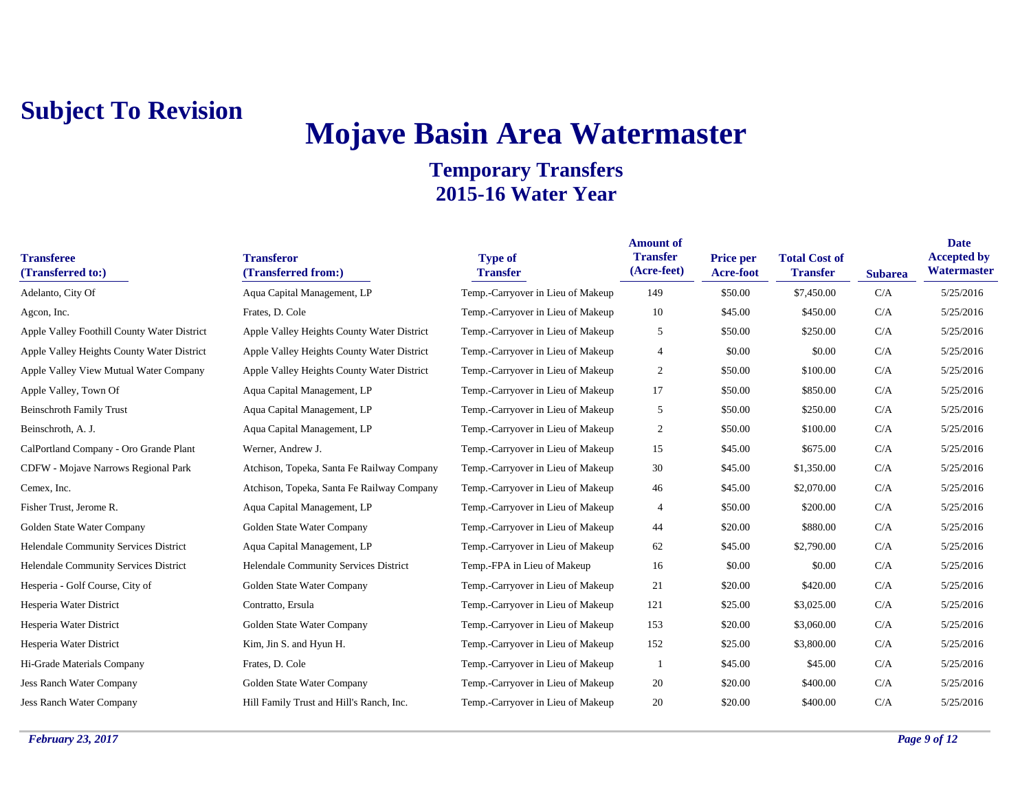# **Mojave Basin Area Watermaster**

| <b>Transferee</b><br>(Transferred to:)      | <b>Transferor</b><br>(Transferred from:)   | <b>Type of</b><br><b>Transfer</b> | <b>Amount of</b><br><b>Transfer</b><br>(Acre-feet) | <b>Price per</b><br>Acre-foot | <b>Total Cost of</b><br><b>Transfer</b> | <b>Subarea</b> | <b>Date</b><br><b>Accepted by</b><br>Watermaster |
|---------------------------------------------|--------------------------------------------|-----------------------------------|----------------------------------------------------|-------------------------------|-----------------------------------------|----------------|--------------------------------------------------|
| Adelanto, City Of                           | Aqua Capital Management, LP                | Temp.-Carryover in Lieu of Makeup | 149                                                | \$50.00                       | \$7,450.00                              | C/A            | 5/25/2016                                        |
| Agcon, Inc.                                 | Frates, D. Cole                            | Temp.-Carryover in Lieu of Makeup | 10                                                 | \$45.00                       | \$450.00                                | C/A            | 5/25/2016                                        |
| Apple Valley Foothill County Water District | Apple Valley Heights County Water District | Temp.-Carryover in Lieu of Makeup | 5                                                  | \$50.00                       | \$250.00                                | C/A            | 5/25/2016                                        |
| Apple Valley Heights County Water District  | Apple Valley Heights County Water District | Temp.-Carryover in Lieu of Makeup | $\overline{4}$                                     | \$0.00                        | \$0.00                                  | C/A            | 5/25/2016                                        |
| Apple Valley View Mutual Water Company      | Apple Valley Heights County Water District | Temp.-Carryover in Lieu of Makeup | $\overline{c}$                                     | \$50.00                       | \$100.00                                | C/A            | 5/25/2016                                        |
| Apple Valley, Town Of                       | Aqua Capital Management, LP                | Temp.-Carryover in Lieu of Makeup | 17                                                 | \$50.00                       | \$850.00                                | C/A            | 5/25/2016                                        |
| <b>Beinschroth Family Trust</b>             | Aqua Capital Management, LP                | Temp.-Carryover in Lieu of Makeup | 5                                                  | \$50.00                       | \$250.00                                | C/A            | 5/25/2016                                        |
| Beinschroth, A. J.                          | Aqua Capital Management, LP                | Temp.-Carryover in Lieu of Makeup | 2                                                  | \$50.00                       | \$100.00                                | C/A            | 5/25/2016                                        |
| CalPortland Company - Oro Grande Plant      | Werner, Andrew J.                          | Temp.-Carryover in Lieu of Makeup | 15                                                 | \$45.00                       | \$675.00                                | C/A            | 5/25/2016                                        |
| CDFW - Mojave Narrows Regional Park         | Atchison, Topeka, Santa Fe Railway Company | Temp.-Carryover in Lieu of Makeup | 30                                                 | \$45.00                       | \$1,350.00                              | C/A            | 5/25/2016                                        |
| Cemex, Inc.                                 | Atchison, Topeka, Santa Fe Railway Company | Temp.-Carryover in Lieu of Makeup | 46                                                 | \$45.00                       | \$2,070.00                              | C/A            | 5/25/2016                                        |
| Fisher Trust, Jerome R.                     | Aqua Capital Management, LP                | Temp.-Carryover in Lieu of Makeup | 4                                                  | \$50.00                       | \$200.00                                | C/A            | 5/25/2016                                        |
| Golden State Water Company                  | Golden State Water Company                 | Temp.-Carryover in Lieu of Makeup | 44                                                 | \$20.00                       | \$880.00                                | C/A            | 5/25/2016                                        |
| Helendale Community Services District       | Aqua Capital Management, LP                | Temp.-Carryover in Lieu of Makeup | 62                                                 | \$45.00                       | \$2,790.00                              | C/A            | 5/25/2016                                        |
| Helendale Community Services District       | Helendale Community Services District      | Temp.-FPA in Lieu of Makeup       | 16                                                 | \$0.00                        | \$0.00                                  | C/A            | 5/25/2016                                        |
| Hesperia - Golf Course, City of             | Golden State Water Company                 | Temp.-Carryover in Lieu of Makeup | 21                                                 | \$20.00                       | \$420.00                                | C/A            | 5/25/2016                                        |
| Hesperia Water District                     | Contratto, Ersula                          | Temp.-Carryover in Lieu of Makeup | 121                                                | \$25.00                       | \$3,025.00                              | C/A            | 5/25/2016                                        |
| Hesperia Water District                     | Golden State Water Company                 | Temp.-Carryover in Lieu of Makeup | 153                                                | \$20.00                       | \$3,060.00                              | C/A            | 5/25/2016                                        |
| Hesperia Water District                     | Kim, Jin S. and Hyun H.                    | Temp.-Carryover in Lieu of Makeup | 152                                                | \$25.00                       | \$3,800.00                              | C/A            | 5/25/2016                                        |
| Hi-Grade Materials Company                  | Frates, D. Cole                            | Temp.-Carryover in Lieu of Makeup |                                                    | \$45.00                       | \$45.00                                 | C/A            | 5/25/2016                                        |
| <b>Jess Ranch Water Company</b>             | Golden State Water Company                 | Temp.-Carryover in Lieu of Makeup | 20                                                 | \$20.00                       | \$400.00                                | C/A            | 5/25/2016                                        |
| <b>Jess Ranch Water Company</b>             | Hill Family Trust and Hill's Ranch, Inc.   | Temp.-Carryover in Lieu of Makeup | 20                                                 | \$20.00                       | \$400.00                                | C/A            | 5/25/2016                                        |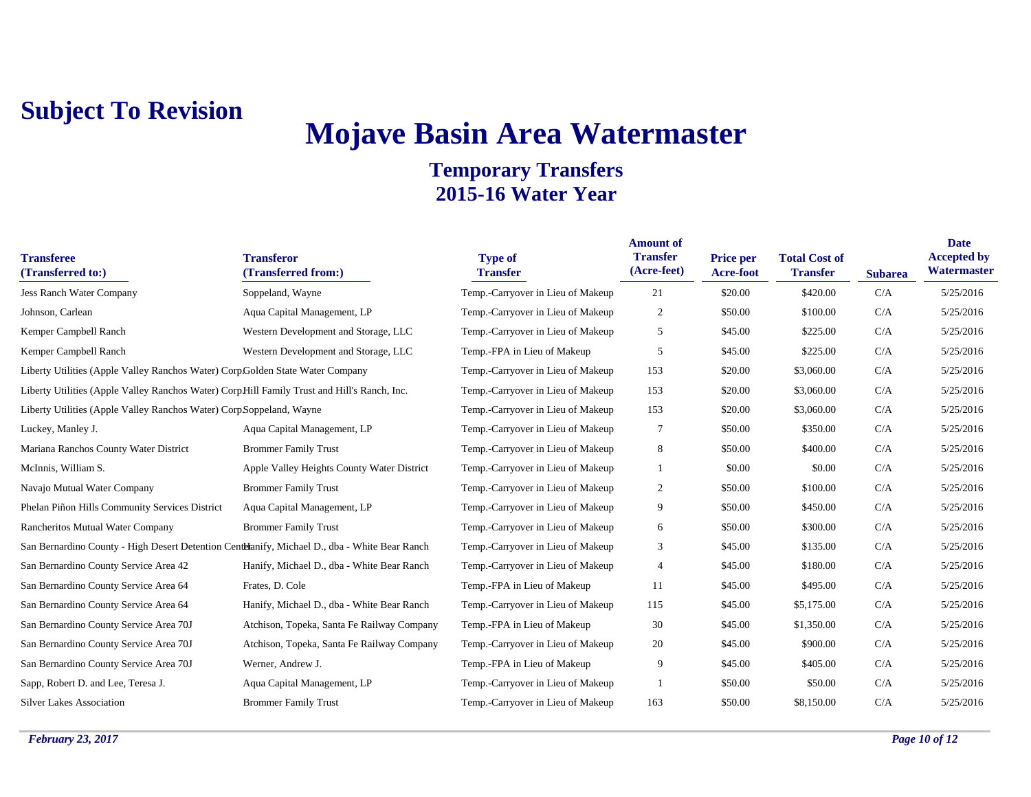# **Mojave Basin Area Watermaster**

| <b>Transferee</b><br>(Transferred to:)                                                        | <b>Transferor</b><br>(Transferred from:)   | <b>Type of</b><br><b>Transfer</b> | <b>Amount of</b><br><b>Transfer</b><br>(Acre-feet) | <b>Price per</b><br>Acre-foot | <b>Total Cost of</b><br><b>Transfer</b> | <b>Subarea</b> | <b>Date</b><br><b>Accepted by</b><br>Watermaster |
|-----------------------------------------------------------------------------------------------|--------------------------------------------|-----------------------------------|----------------------------------------------------|-------------------------------|-----------------------------------------|----------------|--------------------------------------------------|
| Jess Ranch Water Company                                                                      | Soppeland, Wayne                           | Temp.-Carryover in Lieu of Makeup | 21                                                 | \$20.00                       | \$420.00                                | C/A            | 5/25/2016                                        |
| Johnson, Carlean                                                                              | Aqua Capital Management, LP                | Temp.-Carryover in Lieu of Makeup | $\overline{2}$                                     | \$50.00                       | \$100.00                                | C/A            | 5/25/2016                                        |
| Kemper Campbell Ranch                                                                         | Western Development and Storage, LLC       | Temp.-Carryover in Lieu of Makeup | 5                                                  | \$45.00                       | \$225.00                                | C/A            | 5/25/2016                                        |
| Kemper Campbell Ranch                                                                         | Western Development and Storage, LLC       | Temp.-FPA in Lieu of Makeup       | 5                                                  | \$45.00                       | \$225.00                                | C/A            | 5/25/2016                                        |
| Liberty Utilities (Apple Valley Ranchos Water) Corp Golden State Water Company                |                                            | Temp.-Carryover in Lieu of Makeup | 153                                                | \$20.00                       | \$3,060.00                              | C/A            | 5/25/2016                                        |
| Liberty Utilities (Apple Valley Ranchos Water) CorpHill Family Trust and Hill's Ranch, Inc.   |                                            | Temp.-Carryover in Lieu of Makeup | 153                                                | \$20.00                       | \$3,060.00                              | C/A            | 5/25/2016                                        |
| Liberty Utilities (Apple Valley Ranchos Water) CorpSoppeland, Wayne                           |                                            | Temp.-Carryover in Lieu of Makeup | 153                                                | \$20.00                       | \$3,060.00                              | C/A            | 5/25/2016                                        |
| Luckey, Manley J.                                                                             | Aqua Capital Management, LP                | Temp.-Carryover in Lieu of Makeup | 7                                                  | \$50.00                       | \$350.00                                | C/A            | 5/25/2016                                        |
| Mariana Ranchos County Water District                                                         | <b>Brommer Family Trust</b>                | Temp.-Carryover in Lieu of Makeup | 8                                                  | \$50.00                       | \$400.00                                | C/A            | 5/25/2016                                        |
| McInnis, William S.                                                                           | Apple Valley Heights County Water District | Temp.-Carryover in Lieu of Makeup | $\mathbf{1}$                                       | \$0.00                        | \$0.00                                  | C/A            | 5/25/2016                                        |
| Navajo Mutual Water Company                                                                   | <b>Brommer Family Trust</b>                | Temp.-Carryover in Lieu of Makeup | 2                                                  | \$50.00                       | \$100.00                                | C/A            | 5/25/2016                                        |
| Phelan Piñon Hills Community Services District                                                | Aqua Capital Management, LP                | Temp.-Carryover in Lieu of Makeup | 9                                                  | \$50.00                       | \$450.00                                | C/A            | 5/25/2016                                        |
| Rancheritos Mutual Water Company                                                              | <b>Brommer Family Trust</b>                | Temp.-Carryover in Lieu of Makeup | 6                                                  | \$50.00                       | \$300.00                                | C/A            | 5/25/2016                                        |
| San Bernardino County - High Desert Detention Centeranify, Michael D., dba - White Bear Ranch |                                            | Temp.-Carryover in Lieu of Makeup | 3                                                  | \$45.00                       | \$135.00                                | C/A            | 5/25/2016                                        |
| San Bernardino County Service Area 42                                                         | Hanify, Michael D., dba - White Bear Ranch | Temp.-Carryover in Lieu of Makeup | $\overline{4}$                                     | \$45.00                       | \$180.00                                | C/A            | 5/25/2016                                        |
| San Bernardino County Service Area 64                                                         | Frates, D. Cole                            | Temp.-FPA in Lieu of Makeup       | 11                                                 | \$45.00                       | \$495.00                                | C/A            | 5/25/2016                                        |
| San Bernardino County Service Area 64                                                         | Hanify, Michael D., dba - White Bear Ranch | Temp.-Carryover in Lieu of Makeup | 115                                                | \$45.00                       | \$5,175.00                              | C/A            | 5/25/2016                                        |
| San Bernardino County Service Area 70J                                                        | Atchison, Topeka, Santa Fe Railway Company | Temp.-FPA in Lieu of Makeup       | 30                                                 | \$45.00                       | \$1,350.00                              | C/A            | 5/25/2016                                        |
| San Bernardino County Service Area 70J                                                        | Atchison, Topeka, Santa Fe Railway Company | Temp.-Carryover in Lieu of Makeup | 20                                                 | \$45.00                       | \$900.00                                | C/A            | 5/25/2016                                        |
| San Bernardino County Service Area 70J                                                        | Werner, Andrew J.                          | Temp.-FPA in Lieu of Makeup       | 9                                                  | \$45.00                       | \$405.00                                | C/A            | 5/25/2016                                        |
| Sapp, Robert D. and Lee, Teresa J.                                                            | Aqua Capital Management, LP                | Temp.-Carryover in Lieu of Makeup |                                                    | \$50.00                       | \$50.00                                 | C/A            | 5/25/2016                                        |
| <b>Silver Lakes Association</b>                                                               | <b>Brommer Family Trust</b>                | Temp.-Carryover in Lieu of Makeup | 163                                                | \$50.00                       | \$8,150.00                              | C/A            | 5/25/2016                                        |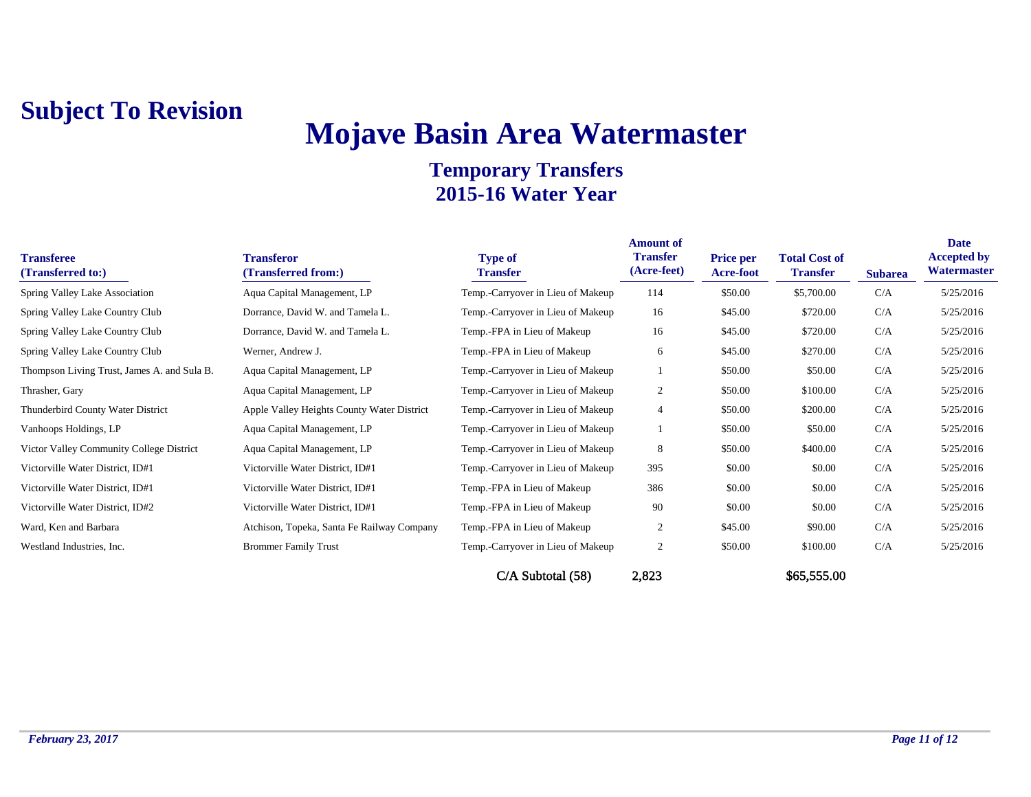# **Mojave Basin Area Watermaster**

| <b>Transferee</b><br>(Transferred to:)      | <b>Transferor</b><br>(Transferred from:)   | <b>Type of</b><br><b>Transfer</b> | <b>Amount of</b><br><b>Transfer</b><br>(Acre-feet) | <b>Price per</b><br><b>Acre-foot</b> | <b>Total Cost of</b><br><b>Transfer</b> | <b>Subarea</b> | Date<br><b>Accepted by</b><br><b>Watermaster</b> |
|---------------------------------------------|--------------------------------------------|-----------------------------------|----------------------------------------------------|--------------------------------------|-----------------------------------------|----------------|--------------------------------------------------|
| Spring Valley Lake Association              | Aqua Capital Management, LP                | Temp.-Carryover in Lieu of Makeup | 114                                                | \$50.00                              | \$5,700.00                              | C/A            | 5/25/2016                                        |
| Spring Valley Lake Country Club             | Dorrance, David W. and Tamela L.           | Temp.-Carryover in Lieu of Makeup | 16                                                 | \$45.00                              | \$720.00                                | C/A            | 5/25/2016                                        |
| Spring Valley Lake Country Club             | Dorrance, David W. and Tamela L.           | Temp.-FPA in Lieu of Makeup       | 16                                                 | \$45.00                              | \$720.00                                | C/A            | 5/25/2016                                        |
| Spring Valley Lake Country Club             | Werner, Andrew J.                          | Temp.-FPA in Lieu of Makeup       | 6                                                  | \$45.00                              | \$270.00                                | C/A            | 5/25/2016                                        |
| Thompson Living Trust, James A. and Sula B. | Aqua Capital Management, LP                | Temp.-Carryover in Lieu of Makeup |                                                    | \$50.00                              | \$50.00                                 | C/A            | 5/25/2016                                        |
| Thrasher, Gary                              | Aqua Capital Management, LP                | Temp.-Carryover in Lieu of Makeup | $\mathfrak{2}$                                     | \$50.00                              | \$100.00                                | C/A            | 5/25/2016                                        |
| Thunderbird County Water District           | Apple Valley Heights County Water District | Temp.-Carryover in Lieu of Makeup | 4                                                  | \$50.00                              | \$200.00                                | C/A            | 5/25/2016                                        |
| Vanhoops Holdings, LP                       | Aqua Capital Management, LP                | Temp.-Carryover in Lieu of Makeup |                                                    | \$50.00                              | \$50.00                                 | C/A            | 5/25/2016                                        |
| Victor Valley Community College District    | Aqua Capital Management, LP                | Temp.-Carryover in Lieu of Makeup | 8                                                  | \$50.00                              | \$400.00                                | C/A            | 5/25/2016                                        |
| Victorville Water District, ID#1            | Victorville Water District, ID#1           | Temp.-Carryover in Lieu of Makeup | 395                                                | \$0.00                               | \$0.00                                  | C/A            | 5/25/2016                                        |
| Victorville Water District, ID#1            | Victorville Water District, ID#1           | Temp.-FPA in Lieu of Makeup       | 386                                                | \$0.00                               | \$0.00                                  | C/A            | 5/25/2016                                        |
| Victorville Water District, ID#2            | Victorville Water District, ID#1           | Temp.-FPA in Lieu of Makeup       | 90                                                 | \$0.00                               | \$0.00                                  | C/A            | 5/25/2016                                        |
| Ward, Ken and Barbara                       | Atchison, Topeka, Santa Fe Railway Company | Temp.-FPA in Lieu of Makeup       | $\overline{c}$                                     | \$45.00                              | \$90.00                                 | C/A            | 5/25/2016                                        |
| Westland Industries, Inc.                   | <b>Brommer Family Trust</b>                | Temp.-Carryover in Lieu of Makeup | $\overline{2}$                                     | \$50.00                              | \$100.00                                | C/A            | 5/25/2016                                        |
|                                             |                                            | $C/A$ Subtotal $(58)$             | 2,823                                              |                                      | \$65,555.00                             |                |                                                  |